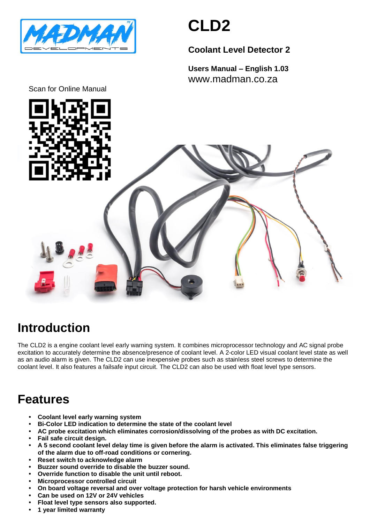

# **CLD2**

### **Coolant Level Detector 2**

**Users Manual – English 1.03** www.madman.co.za





### **Introduction**

The CLD2 is a engine coolant level early warning system. It combines microprocessor technology and AC signal probe excitation to accurately determine the absence/presence of coolant level. A 2-color LED visual coolant level state as well as an audio alarm is given. The CLD2 can use inexpensive probes such as stainless steel screws to determine the coolant level. It also features a failsafe input circuit. The CLD2 can also be used with float level type sensors.

### **Features**

- **• Coolant level early warning system**
- **• Bi-Color LED indication to determine the state of the coolant level**
- **• AC probe excitation which eliminates corrosion/dissolving of the probes as with DC excitation.**
- **• Fail safe circuit design.**
- **• A 5 second coolant level delay time is given before the alarm is activated. This eliminates false triggering of the alarm due to off-road conditions or cornering.**
- **• Reset switch to acknowledge alarm**
- **• Buzzer sound override to disable the buzzer sound.**
- **• Override function to disable the unit until reboot.**
- **• Microprocessor controlled circuit**
- **• On board voltage reversal and over voltage protection for harsh vehicle environments**
- **• Can be used on 12V or 24V vehicles**
- **• Float level type sensors also supported.**
- **• 1 year limited warranty**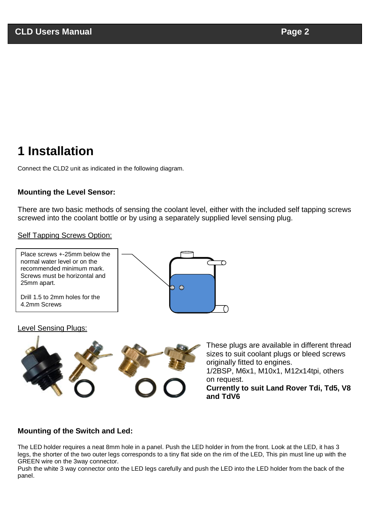## **1 Installation**

Connect the CLD2 unit as indicated in the following diagram.

#### **Mounting the Level Sensor:**

There are two basic methods of sensing the coolant level, either with the included self tapping screws screwed into the coolant bottle or by using a separately supplied level sensing plug.

#### Self Tapping Screws Option:



#### Level Sensing Plugs:



These plugs are available in different thread sizes to suit coolant plugs or bleed screws originally fitted to engines.

1/2BSP, M6x1, M10x1, M12x14tpi, others on request.

**Currently to suit Land Rover Tdi, Td5, V8 and TdV6**

#### **Mounting of the Switch and Led:**

The LED holder requires a neat 8mm hole in a panel. Push the LED holder in from the front. Look at the LED, it has 3 legs, the shorter of the two outer legs corresponds to a tiny flat side on the rim of the LED, This pin must line up with the GREEN wire on the 3way connector.

Push the white 3 way connector onto the LED legs carefully and push the LED into the LED holder from the back of the panel.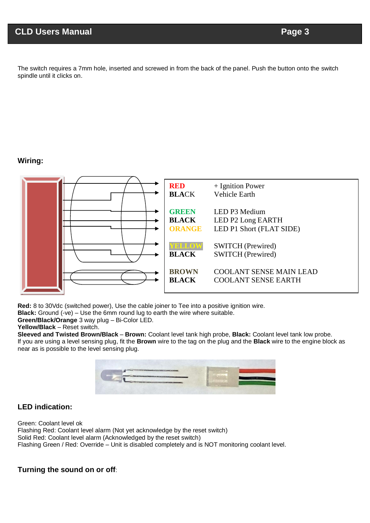The switch requires a 7mm hole, inserted and screwed in from the back of the panel. Push the button onto the switch spindle until it clicks on.

#### **Wiring:**



**Red:** 8 to 30Vdc (switched power), Use the cable joiner to Tee into a positive ignition wire.

**Black:** Ground (-ve) – Use the 6mm round lug to earth the wire where suitable.

**Green/Black/Orange** 3 way plug – Bi-Color LED.

**Yellow/Black** – Reset switch.

**Sleeved and Twisted Brown/Black** – **Brown:** Coolant level tank high probe, **Black:** Coolant level tank low probe. If you are using a level sensing plug, fit the **Brown** wire to the tag on the plug and the **Black** wire to the engine block as near as is possible to the level sensing plug.



#### **LED indication:**

Green: Coolant level ok Flashing Red: Coolant level alarm (Not yet acknowledge by the reset switch) Solid Red: Coolant level alarm (Acknowledged by the reset switch) Flashing Green / Red: Override – Unit is disabled completely and is NOT monitoring coolant level.

#### **Turning the sound on or off**: